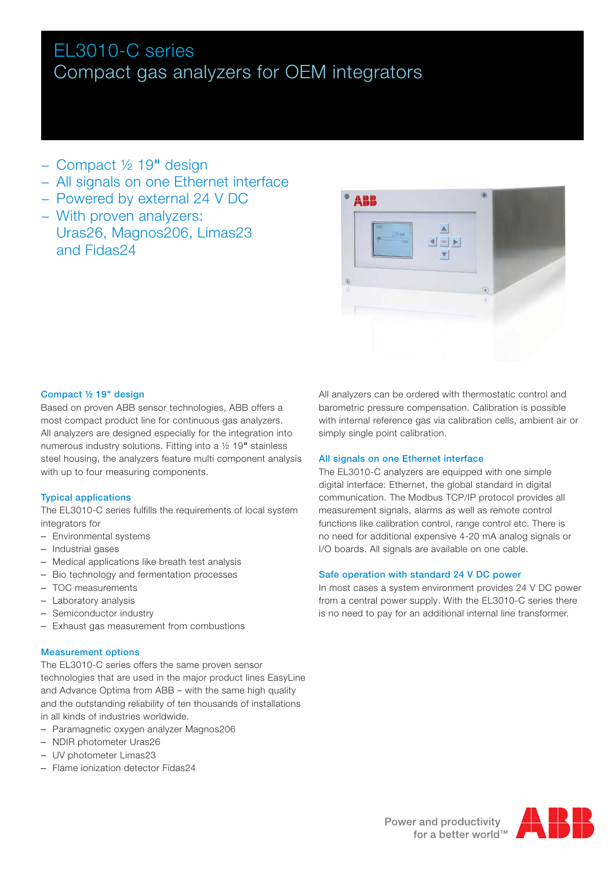# EL3010-C series Compact gas analyzers for OEM integrators

- − Compact ½ 19" design
- − All signals on one Ethernet interface
- − Powered by external 24 V DC
- − With proven analyzers: Uras26, Magnos206, Limas23 and Fidas24



# Compact ½ 19" design

Based on proven ABB sensor technologies, ABB offers a most compact product line for continuous gas analyzers. All analyzers are designed especially for the integration into numerous industry solutions. Fitting into a ½ 19" stainless steel housing, the analyzers feature multi component analysis with up to four measuring components.

# Typical applications

The EL3010-C series fulfills the requirements of local system integrators for

- Environmental systems
- Industrial gases
- Medical applications like breath test analysis
- Bio technology and fermentation processes
- TOC measurements
- Laboratory analysis
- Semiconductor industry
- Exhaust gas measurement from combustions

# Measurement options

The EL3010-C series offers the same proven sensor technologies that are used in the major product lines EasyLine and Advance Optima from ABB – with the same high quality and the outstanding reliability of ten thousands of installations in all kinds of industries worldwide.

- Paramagnetic oxygen analyzer Magnos206
- NDIR photometer Uras26
- UV photometer Limas23
- Flame ionization detector Fidas24

All analyzers can be ordered with thermostatic control and barometric pressure compensation. Calibration is possible with internal reference gas via calibration cells, ambient air or simply single point calibration.

# All signals on one Ethernet interface

The EL3010-C analyzers are equipped with one simple digital interface: Ethernet, the global standard in digital communication. The Modbus TCP/IP protocol provides all measurement signals, alarms as well as remote control functions like calibration control, range control etc. There is no need for additional expensive 4-20 mA analog signals or I/O boards. All signals are available on one cable.

# Safe operation with standard 24 V DC power

In most cases a system environment provides 24 V DC power from a central power supply. With the EL3010-C series there is no need to pay for an additional internal line transformer.